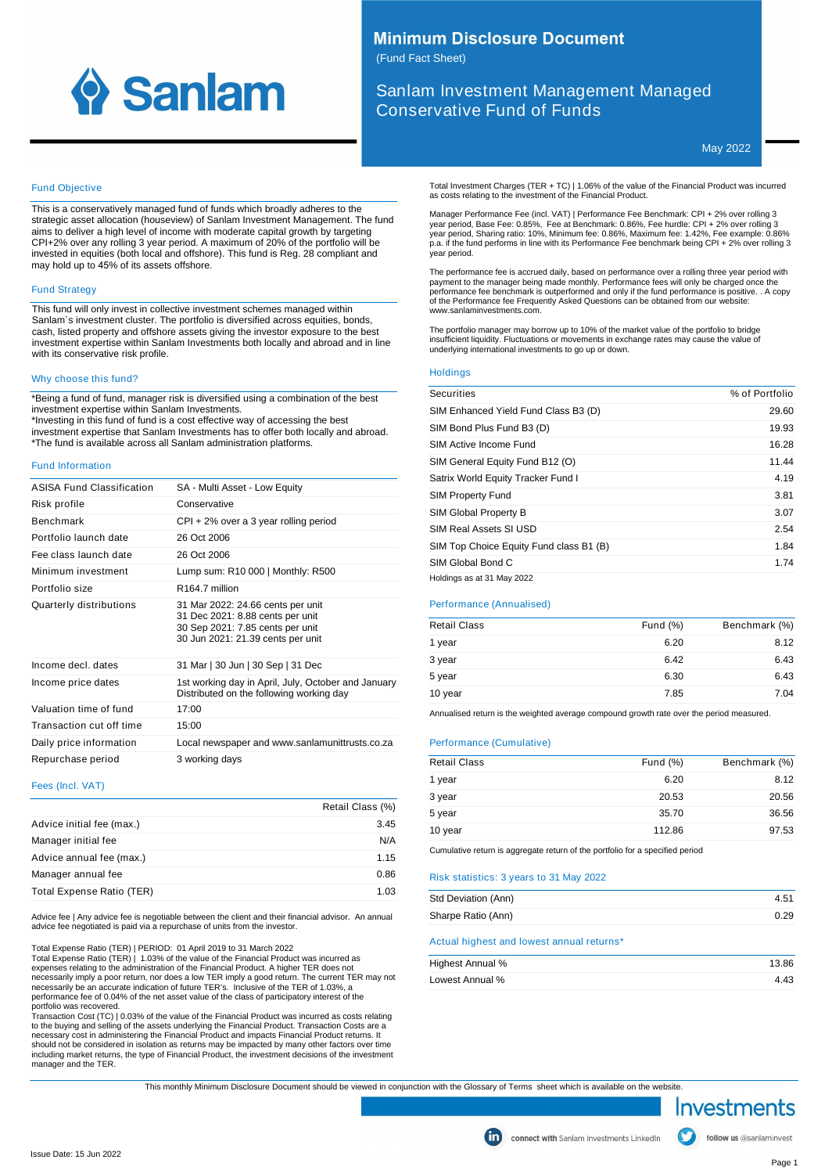

# **Minimum Disclosure Document**

(Fund Fact Sheet)

Sanlam Investment Management Managed Conservative Fund of Funds

May 2022

### Fund Objective

This is a conservatively managed fund of funds which broadly adheres to the strategic asset allocation (houseview) of Sanlam Investment Management. The fund aims to deliver a high level of income with moderate capital growth by targeting CPI+2% over any rolling 3 year period. A maximum of 20% of the portfolio will be invested in equities (both local and offshore). This fund is Reg. 28 compliant and may hold up to 45% of its assets offshore.

#### Fund Strategy

This fund will only invest in collective investment schemes managed within Sanlam`s investment cluster. The portfolio is diversified across equities, bonds, cash, listed property and offshore assets giving the investor exposure to the best investment expertise within Sanlam Investments both locally and abroad and in line with its conservative risk profile.

#### Why choose this fund?

\*Being a fund of fund, manager risk is diversified using a combination of the best investment expertise within Sanlam Investments.

\*Investing in this fund of fund is a cost effective way of accessing the best investment expertise that Sanlam Investments has to offer both locally and abroad. \*The fund is available across all Sanlam administration platforms.

#### Fund Information

| ASISA Fund Classification | SA - Multi Asset - Low Equity                                                                                                                  |
|---------------------------|------------------------------------------------------------------------------------------------------------------------------------------------|
| Risk profile              | Conservative                                                                                                                                   |
| <b>Benchmark</b>          | CPI + 2% over a 3 year rolling period                                                                                                          |
| Portfolio launch date     | 26 Oct 2006                                                                                                                                    |
| Fee class launch date     | 26 Oct 2006                                                                                                                                    |
| Minimum investment        | Lump sum: R10 000   Monthly: R500                                                                                                              |
| Portfolio size            | R <sub>164.7</sub> million                                                                                                                     |
| Quarterly distributions   | 31 Mar 2022: 24.66 cents per unit<br>31 Dec 2021: 8.88 cents per unit<br>30 Sep 2021: 7.85 cents per unit<br>30 Jun 2021: 21.39 cents per unit |
| Income decl. dates        | 31 Mar   30 Jun   30 Sep   31 Dec                                                                                                              |
| Income price dates        | 1st working day in April, July, October and January<br>Distributed on the following working day                                                |
| Valuation time of fund    | 17:00                                                                                                                                          |
| Transaction cut off time  | 15:00                                                                                                                                          |
| Daily price information   | Local newspaper and www.sanlamunittrusts.co.za                                                                                                 |
| Repurchase period         | 3 working days                                                                                                                                 |
|                           |                                                                                                                                                |

#### Fees (Incl. VAT)

|                           | Retail Class (%) |
|---------------------------|------------------|
| Advice initial fee (max.) | 3.45             |
| Manager initial fee       | N/A              |
| Advice annual fee (max.)  | 1.15             |
| Manager annual fee        | 0.86             |
| Total Expense Ratio (TER) | 1.03             |

Advice fee | Any advice fee is negotiable between the client and their financial advisor. An annual advice fee negotiated is paid via a repurchase of units from the investor.

Total Expense Ratio (TER) | PERIOD: 01 April 2019 to 31 March 2022

Total Expense Ratio (TER) | 1.03% of the value of the Financial Product was incurred as<br>expenses relating to the administration of the Financial Product. A higher TER does not<br>necessarily imply a poor return, nor does a lo performance fee of 0.04% of the net asset value of the class of participatory interest of the

portfolio was recovered.<br>Transaction Cost (TC) | 0.03% of the value of the Financial Product was incurred as costs relating<br>to the buying and selling of the assets underlying the Financial Product. Transaction Costs are a<br> including market returns, the type of Financial Product, the investment decisions of the investment manager and the TER. Total Investment Charges (TER + TC) | 1.06% of the value of the Financial Product was incurred as costs relating to the investment of the Financial Product.

Manager Performance Fee (incl. VAT) | Performance Fee Benchmark: CPI + 2% over rolling 3 year period, Base Fee: 0.85%, Fee at Benchmark: 0.86%, Fee hurdle: CPI + 2% over rolling 3 year period, Sharing ratio: 10%, Minimum fee: 0.86%, Maximum fee: 1.42%, Fee example: 0.86% p.a. if the fund performs in line with its Performance Fee benchmark being CPI + 2% over rolling 3 year period.

The performance fee is accrued daily, based on performance over a rolling three year period with payment to the manager being made monthly. Performance fees will only be charged once the performance fee benchmark is outperformed and only if the fund performance is positive. . A copy of the Performance fee Frequently Asked Questions can be obtained from our website: www.sanlaminvestments.com.

The portfolio manager may borrow up to 10% of the market value of the portfolio to bridge insufficient liquidity. Fluctuations or movements in exchange rates may cause the value of underlying international investments to go up or down.

#### **Holdings**

| <b>Securities</b>                       | % of Portfolio |
|-----------------------------------------|----------------|
| SIM Enhanced Yield Fund Class B3 (D)    | 29.60          |
| SIM Bond Plus Fund B3 (D)               | 19.93          |
| SIM Active Income Fund                  | 16.28          |
| SIM General Equity Fund B12 (O)         | 11.44          |
| Satrix World Equity Tracker Fund I      | 4.19           |
| <b>SIM Property Fund</b>                | 3.81           |
| SIM Global Property B                   | 3.07           |
| SIM Real Assets SI USD                  | 2.54           |
| SIM Top Choice Equity Fund class B1 (B) | 1.84           |
| SIM Global Bond C                       | 1.74           |
| Holdings as at 31 May 2022              |                |

#### Performance (Annualised)

| <b>Retail Class</b> | Fund $(\%)$ | Benchmark (%) |
|---------------------|-------------|---------------|
| 1 year              | 6.20        | 8.12          |
| 3 year              | 6.42        | 6.43          |
| 5 year              | 6.30        | 6.43          |
| 10 year             | 7.85        | 7.04          |

Annualised return is the weighted average compound growth rate over the period measured.

#### Performance (Cumulative)

| <b>Retail Class</b> | Fund $(\%)$ | Benchmark (%) |
|---------------------|-------------|---------------|
| 1 year              | 6.20        | 8.12          |
| 3 year              | 20.53       | 20.56         |
| 5 year              | 35.70       | 36.56         |
| 10 year             | 112.86      | 97.53         |

Cumulative return is aggregate return of the portfolio for a specified period

#### Risk statistics: 3 years to 31 May 2022

| Std Deviation (Ann) | 4.51 |
|---------------------|------|
| Sharpe Ratio (Ann)  | 0.29 |

#### Actual highest and lowest annual returns\*

| Highest Annual % | 13.86 |
|------------------|-------|
| Lowest Annual %  | 4.43  |

This monthly Minimum Disclosure Document should be viewed in conjunction with the Glossary of Terms sheet which is available on the website.



follow us @sanlaminvest